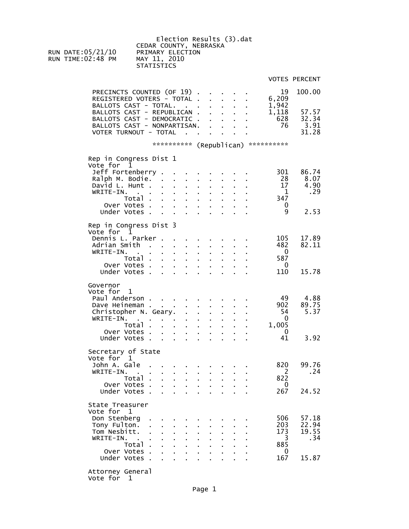Election Results (3).dat CEDAR COUNTY, NEBRASKA<br>RUN DATE:05/21/10 PRIMARY ELECTION PRIMARY ELECTION<br>MAY 11, 2010 RUN TIME: $02:48$  PM **STATISTICS** 

VOTES PERCENT

PRECINCTS COUNTED (OF 19) . . . . . 19 100.00<br>REGISTERED VOTERS - TOTAL . . . . . 6,209 REGISTERED VOTERS - TOTAL . . . . . 6,209  $\texttt{BALLOTS } \texttt{CAST - TOTAL. . . . . . . . 1, 942}$ BALLOTS CAST - REPUBLICAN . . . . . 1,118 57.57 BALLOTS CAST - DEMOCRATIC . . . . . 628 32.34 BALLOTS CAST - NONPARTISAN. . . . . 76 3.91 VOTER TURNOUT - TOTAL . . . . . . 31.28 \*\*\*\*\*\*\*\*\*\*\* (Republican) \*\*\*\*\*\*\*\*\*\*\* Rep in Congress Dist 1 Vote for 1 Jeff Fortenberry . . . . . . . . 301 86.74 URIT FORTENDERTY . . . . . . . . . . 301 86.74<br>Ralph M. Bodie. . . . . . . . . . . 28 8.07<br>David L. Hunt . . . . . . . . . . . 17 4.90 David L. Hunt . . . . . . . . . . . 17 4.90<br>WRITE-IN. . . . . . . . . . . . 1 . . 29 WRITE-IN. . . . . . . . . . . 1<br>Total . . . . . . . . . . 347 Total . . . . . . . . . 347<br>Votes . . . . . . . . . . 0 Over Votes . . . . . . . . . . 0<br>Under Votes . . . . . . . . . . . 9 Under Votes . . . . . . . . . . 9 2.53 Rep in Congress Dist 3 Vote for 1 Dennis L. Parker . . . . . . . . 105 17.89 Adrian Smith . . . . . . . . . . 482 82.11<br>WRITE-IN. . . . . . . . . . . . 0 WRITE-IN. . . . . . . . . . . 0<br>Total . . . . . . . . . 587 Total . . . . . . . . . 587 Over Votes . . . . . . . . . . 0<br>Under Votes . . . . . . . . . . 110 Under Votes . . . . . . . . . . 110 15.78 Governor Vote for 1 Paul Anderson . . . . . . . . . . 49 4.88<br>Dave Heineman . . . . . . . . . . 902 89.75 Dave Heineman . . . . . . . . . . . 902 89.75<br>Christopher N. Geary. . . . . . . . . 54 5.37 Christopher N. Geary. . . . . . . . 54<br>WRITE-IN. . . . . . . . . . . . 0 WRITE-IN. . . . . . . . . . . 0 Total . . . . . . . . . 1,005 Over Votes . . . . . . . . . 0 Under Votes . . . . . . . . . 41 3.92 Secretary of State Vote for 1 John A. Gale . . . . . . . . . 820 99.76 WRITE-IN. . . . . . . . . . . . 2<br>Total . . . . . . . . . . 822 Total . . . . . . . . . 822<br>Votes 0 Over Votes . . . . . . . . . . 0<br>Under Votes . . . . . . . . . . . . . . 267 Under Votes . . . . . . . . . . 267 24.52 State Treasurer Vote for 1 Don Stenberg . . . . . . . . . . 506 57.18<br>
Tony Fulton. . . . . . . . . . . 203 22.94 Tony Fulton. . . . . . . . . . 203 22.94 Tom Nesbitt. . . . . . . . . . . 173 19.55<br>WRITE-IN. . . . . . . . . . . . 3 .34 WRITE-IN. . . . . . . . . . . . 3<br>Total . . . . . . . . . . 885 Total . . . . . . . . . 885 Over Votes . . . . . . . . . 0 Under Votes . . . . . . . . . 167 15.87 Attorney General Vote for 1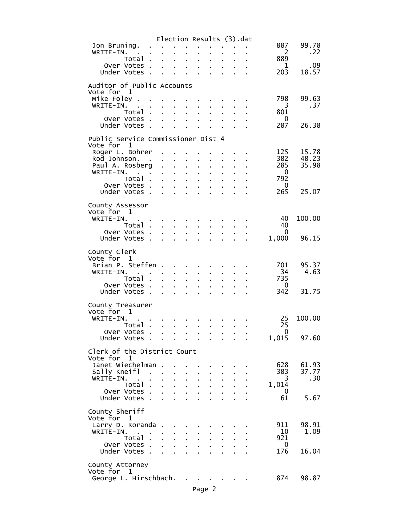|                                                                                                     |                                                           | Election Results (3).dat                                                                                                                                             |                                                                           |                                                        |                               |                                              |                                 |              |
|-----------------------------------------------------------------------------------------------------|-----------------------------------------------------------|----------------------------------------------------------------------------------------------------------------------------------------------------------------------|---------------------------------------------------------------------------|--------------------------------------------------------|-------------------------------|----------------------------------------------|---------------------------------|--------------|
| Jon Bruning.                                                                                        | $\mathbf{L}^{\text{max}}$ , and $\mathbf{L}^{\text{max}}$ |                                                                                                                                                                      |                                                                           |                                                        |                               |                                              | 887                             | 99.78        |
| WRITE-IN.<br><b>Contract</b>                                                                        | <b>Contract Contract</b>                                  | $\mathbf{r}$                                                                                                                                                         | $\mathbf{r}$                                                              |                                                        |                               |                                              | -2                              | . 22         |
| Total .                                                                                             | $\mathcal{L}^{\text{max}}$                                | $\mathbf{r}$<br>$\mathcal{L}^{\text{max}}$                                                                                                                           | $\mathbf{r} = \mathbf{r}$<br>$\mathbf{r}$                                 |                                                        |                               |                                              | 889                             |              |
| Over Votes .<br>Under Votes.                                                                        | ÷.                                                        | and a state of the                                                                                                                                                   | $\mathbf{r} = \mathbf{r} \mathbf{r}$ .                                    | $\mathbf{r}$                                           | $\mathcal{L}^{\text{max}}$    |                                              | $\mathbf 1$<br>203              | .09<br>18.57 |
|                                                                                                     | <b>Allen</b>                                              |                                                                                                                                                                      |                                                                           | $\mathbf{r} = \mathbf{r} \cdot \mathbf{r}$             |                               | <b>Contract Contract</b>                     |                                 |              |
| Auditor of Public Accounts                                                                          |                                                           |                                                                                                                                                                      |                                                                           |                                                        |                               |                                              |                                 |              |
| Vote for 1                                                                                          |                                                           |                                                                                                                                                                      |                                                                           |                                                        |                               |                                              |                                 |              |
| Mike Foley.                                                                                         |                                                           |                                                                                                                                                                      |                                                                           | and a strain and                                       |                               |                                              | 798                             | 99.63        |
| WRITE-IN.<br><b>Contract</b>                                                                        | $\mathbf{r}$                                              | $\mathbf{r}$                                                                                                                                                         | $\mathbf{r} = \mathbf{r} \cdot \mathbf{r}$ .                              | $\mathbf{r} = \mathbf{r}$                              | $\mathbf{r}$                  |                                              | 3                               | .37          |
| Total .                                                                                             | $\mathbf{r}$                                              | $\mathbf{r} = \mathbf{r}$                                                                                                                                            | $\mathbf{r} = \mathbf{r}$<br>$\sim 100$                                   | ä,                                                     |                               |                                              | 801                             |              |
| Over Votes .<br>Under Votes.                                                                        | $\sim 10$<br>$\sim$                                       | $\mathbf{r}$<br>$\mathbf{r}$<br>$\mathbf{r}$                                                                                                                         | $\mathbf{z} = \mathbf{z} + \mathbf{z}$<br>$\mathbf{r}$                    | $\mathbf{r} = \mathbf{r}$<br>$\mathbf{r} = \mathbf{r}$ | $\mathbf{r}$                  | $\sim 10^{-11}$<br>$\mathbf{L}^{\text{max}}$ | 0<br>287                        | 26.38        |
|                                                                                                     |                                                           |                                                                                                                                                                      |                                                                           |                                                        |                               |                                              |                                 |              |
| Public Service Commissioner Dist 4                                                                  |                                                           |                                                                                                                                                                      |                                                                           |                                                        |                               |                                              |                                 |              |
| Vote for 1                                                                                          |                                                           |                                                                                                                                                                      |                                                                           |                                                        |                               |                                              |                                 |              |
| Roger L. Bohrer                                                                                     |                                                           |                                                                                                                                                                      |                                                                           |                                                        |                               |                                              | 125                             | 15.78        |
| Rod Johnson. .                                                                                      |                                                           | $\mathbf{r} = \mathbf{r} \mathbf{r}$ .                                                                                                                               |                                                                           |                                                        |                               |                                              | 382                             | 48.23        |
| Paul A. Rosberg.                                                                                    |                                                           | $\mathbf{r}$                                                                                                                                                         | $\mathbf{r} = \mathbf{r}$<br>$\mathbf{r}$                                 | ä.                                                     | $\mathbf{r}$                  |                                              | 285                             | 35.98        |
| WRITE-IN.<br>$\mathbf{e}_{\mathrm{in}}$ , $\mathbf{e}_{\mathrm{out}}$ , $\mathbf{e}_{\mathrm{out}}$ |                                                           | and a state of                                                                                                                                                       |                                                                           | ä,                                                     | $\mathbf{r}^{\prime}$         |                                              | $\overline{0}$                  |              |
| Total<br>Over Votes .                                                                               |                                                           | $\mathbf{r} = \mathbf{r} \times \mathbf{r}$<br>$\mathbf{1}^{\prime}$ , $\mathbf{1}^{\prime}$ , $\mathbf{1}^{\prime}$ , $\mathbf{1}^{\prime}$ , $\mathbf{1}^{\prime}$ | $\mathcal{L}^{\text{max}}$                                                | $\mathbf{r}$                                           | $\mathbf{r}$                  |                                              | 792<br>0                        |              |
| Under Votes .                                                                                       | $\mathbf{r}$<br>$\mathbf{r}$                              | $\sim 10$                                                                                                                                                            | $\mathbf{r} = \mathbf{r}$                                                 | $\mathbf{r} = \mathbf{r}$<br>$\mathbf{r} = \mathbf{r}$ | $\mathbf{r}$<br>¥.            | $\mathbf{r} = \mathbf{r}$                    | 265                             | 25.07        |
|                                                                                                     |                                                           |                                                                                                                                                                      |                                                                           |                                                        |                               |                                              |                                 |              |
| County Assessor                                                                                     |                                                           |                                                                                                                                                                      |                                                                           |                                                        |                               |                                              |                                 |              |
| Vote for 1                                                                                          |                                                           |                                                                                                                                                                      |                                                                           |                                                        |                               |                                              |                                 |              |
| WRITE-IN.                                                                                           |                                                           | and the company of the company of                                                                                                                                    |                                                                           |                                                        |                               |                                              | 40                              | 100.00       |
| Total .                                                                                             | $\mathbf{r} = \mathbf{r}$                                 | $\mathbf{r} = \mathbf{r} \cdot \mathbf{r}$ .                                                                                                                         | $\mathbf{r}$                                                              | $\mathbf{r} = \mathbf{r}$                              | $\mathbf{a}$ and $\mathbf{b}$ | $\mathbf{r} = \mathbf{r}$                    | 40                              |              |
| Over Votes.                                                                                         | $\mathbf{L}^{\text{max}}$                                 | $\mathbf{r}$                                                                                                                                                         | $\mathbf{r}$                                                              |                                                        |                               |                                              | $\overline{\mathbf{0}}$         |              |
| Under Votes .                                                                                       | $\mathbf{L}^{\text{max}}$                                 | $\mathbf{1}=\mathbf{1}=\mathbf{1}=\mathbf{1}=\mathbf{1}$                                                                                                             |                                                                           | $\sim$                                                 | $\mathbf{r}$                  | $\mathbf{r}$                                 | 1,000                           | 96.15        |
|                                                                                                     |                                                           |                                                                                                                                                                      |                                                                           |                                                        |                               |                                              |                                 |              |
| County Clerk<br>Vote for 1                                                                          |                                                           |                                                                                                                                                                      |                                                                           |                                                        |                               |                                              |                                 |              |
| Brian P. Steffen.                                                                                   |                                                           |                                                                                                                                                                      |                                                                           |                                                        |                               |                                              | 701                             | 95.37        |
| WRITE-IN.                                                                                           |                                                           |                                                                                                                                                                      | $\mathbf{r} = \mathbf{r}$<br>$\mathbf{r}$                                 | $\mathbf{r}$                                           | $\mathbf{r}$                  |                                              | - 34                            | 4.63         |
| Total<br>$\mathbf{r}$                                                                               | $\mathbf{r}$                                              |                                                                                                                                                                      | $\mathcal{L}^{\text{max}}$<br>$\mathbf{r}$                                | ä.                                                     | $\mathbf{r}$                  |                                              | 735                             |              |
| Over Votes                                                                                          |                                                           | ä.                                                                                                                                                                   | $\mathbf{r} = \mathbf{r}$<br>¥.                                           | $\mathbf{r}^{\prime}$                                  | $\mathbf{r}^{\prime}$         | $\mathbf{r}$                                 | 0                               |              |
| Under Votes.                                                                                        | ÷.                                                        | ä.                                                                                                                                                                   | ÷.                                                                        |                                                        |                               |                                              | 342                             | 31.75        |
|                                                                                                     |                                                           |                                                                                                                                                                      |                                                                           |                                                        |                               |                                              |                                 |              |
| County Treasurer                                                                                    |                                                           |                                                                                                                                                                      |                                                                           |                                                        |                               |                                              |                                 |              |
| Vote for 1<br>WRITE-IN.                                                                             |                                                           |                                                                                                                                                                      |                                                                           |                                                        |                               |                                              | 25                              | 100.00       |
| Total .                                                                                             |                                                           | <b>Contract Contract</b>                                                                                                                                             | $\mathbf{r}$                                                              |                                                        |                               |                                              | 25                              |              |
| Over Votes .                                                                                        |                                                           | $\sim$                                                                                                                                                               |                                                                           | $\epsilon$                                             | $\mathbf{a} = \mathbf{0}$     |                                              | $\mathbf 0$                     |              |
| Under Votes.                                                                                        |                                                           | and the state of the state of the                                                                                                                                    |                                                                           |                                                        |                               |                                              | 1,015                           | 97.60        |
|                                                                                                     |                                                           |                                                                                                                                                                      |                                                                           |                                                        |                               |                                              |                                 |              |
| Clerk of the District Court                                                                         |                                                           |                                                                                                                                                                      |                                                                           |                                                        |                               |                                              |                                 |              |
| Vote for 1                                                                                          |                                                           |                                                                                                                                                                      |                                                                           |                                                        |                               |                                              |                                 |              |
| Janet Wiechelman .                                                                                  |                                                           |                                                                                                                                                                      |                                                                           |                                                        |                               |                                              | 628                             | 61.93        |
| Sally Kneifl<br>$\sim$ 100 $\sim$                                                                   |                                                           |                                                                                                                                                                      |                                                                           |                                                        |                               |                                              | 383                             | 37.77        |
| WRITE-IN.                                                                                           |                                                           |                                                                                                                                                                      |                                                                           |                                                        |                               |                                              | 3                               | .30          |
| Total.<br>Over Votes .                                                                              | ÷.<br>$\mathbf{r}$                                        | $\mathbf{r}$<br>$\mathbf{L}$                                                                                                                                         | $\mathbf{r} = \mathbf{r}$<br>$\mathbf{r}$<br>$\mathbf{r}$<br>$\mathbf{r}$ | $\mathbf{r}$<br>$\mathbf{r}$                           | $\mathbf{L}$                  |                                              | 1,014<br>0                      |              |
| Under Votes.                                                                                        |                                                           | $\mathbf{r}$<br>$\mathbf{L}^{\text{max}}$                                                                                                                            | $\mathbf{r}$                                                              |                                                        |                               |                                              | 61                              | 5.67         |
|                                                                                                     |                                                           |                                                                                                                                                                      |                                                                           |                                                        |                               |                                              |                                 |              |
| County Sheriff                                                                                      |                                                           |                                                                                                                                                                      |                                                                           |                                                        |                               |                                              |                                 |              |
| Vote for 1                                                                                          |                                                           |                                                                                                                                                                      |                                                                           |                                                        |                               |                                              |                                 |              |
| Larry D. Koranda.                                                                                   |                                                           | $\mathbf{r}$                                                                                                                                                         |                                                                           |                                                        |                               |                                              | 911                             | 98.91        |
| WRITE-IN.<br>$\sim$                                                                                 |                                                           |                                                                                                                                                                      |                                                                           |                                                        |                               |                                              | 10                              | 1.09         |
| Total.                                                                                              | t.                                                        | t.<br>$\mathbf{r}$                                                                                                                                                   |                                                                           |                                                        |                               |                                              | 921                             |              |
| Over Votes .                                                                                        | $\mathbf{r}$                                              | $\mathbf{r}$                                                                                                                                                         |                                                                           |                                                        |                               |                                              | $\overline{\phantom{0}}$<br>176 | 16.04        |
| Under Votes.                                                                                        |                                                           |                                                                                                                                                                      |                                                                           |                                                        |                               |                                              |                                 |              |
| County Attorney                                                                                     |                                                           |                                                                                                                                                                      |                                                                           |                                                        |                               |                                              |                                 |              |
| Vote for 1                                                                                          |                                                           |                                                                                                                                                                      |                                                                           |                                                        |                               |                                              |                                 |              |
| George L. Hirschbach.                                                                               |                                                           |                                                                                                                                                                      |                                                                           |                                                        |                               |                                              | 874                             | 98.87        |
|                                                                                                     |                                                           |                                                                                                                                                                      |                                                                           |                                                        |                               |                                              |                                 |              |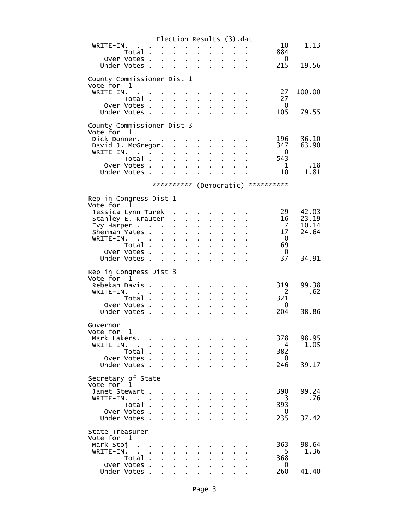|                                              |                                                                                             | Election Results (3).dat                                                                      |                                              |                           |                           |                |                           |                                     |                |
|----------------------------------------------|---------------------------------------------------------------------------------------------|-----------------------------------------------------------------------------------------------|----------------------------------------------|---------------------------|---------------------------|----------------|---------------------------|-------------------------------------|----------------|
| WRITE-IN.                                    | $\frac{1}{2}$ , $\frac{1}{2}$ , $\frac{1}{2}$ , $\frac{1}{2}$                               |                                                                                               |                                              |                           |                           |                |                           | 10                                  | 1.13           |
| Total.<br>Over Votes.                        |                                                                                             | $\sim$ 100 $\sim$<br>$\mathbf{z} = \mathbf{z} + \mathbf{z}$ .                                 | $\mathbf{r}$                                 | ä,                        | ä,                        |                | $\mathbf{r}$              | 884<br>$\overline{\phantom{0}}$     |                |
| Under Votes.                                 |                                                                                             |                                                                                               |                                              |                           |                           | $\mathbf{r}$   | $\mathbf{L}^{\text{max}}$ | 215                                 | 19.56          |
|                                              |                                                                                             |                                                                                               |                                              |                           |                           |                |                           |                                     |                |
| County Commissioner Dist 1<br>Vote for 1     |                                                                                             |                                                                                               |                                              |                           |                           |                |                           |                                     |                |
| WRITE-IN.                                    |                                                                                             |                                                                                               |                                              |                           |                           |                |                           | 27                                  | 100.00         |
| Total                                        |                                                                                             |                                                                                               | $\mathbf{a}$ and                             | ¥.                        | ä,                        | $\mathbf{r}$   |                           | 27                                  |                |
| Over Votes.                                  |                                                                                             | $\mathbf{1}^{\prime}$ , $\mathbf{1}^{\prime}$ , $\mathbf{1}^{\prime}$ , $\mathbf{1}^{\prime}$ |                                              | $\mathbf{r}$              | $\sim$                    | $\mathbf{r}$   |                           | $\mathbf 0$                         |                |
| Under Votes.                                 |                                                                                             | $\mathbf{r} = \mathbf{r} + \mathbf{r}$                                                        |                                              | $\mathbf{r}$              | ÷.                        | ä.             | $\mathbf{r}$              | 105                                 | 79.55          |
| County Commissioner Dist 3                   |                                                                                             |                                                                                               |                                              |                           |                           |                |                           |                                     |                |
| Vote for<br>1                                |                                                                                             |                                                                                               |                                              |                           |                           |                |                           |                                     |                |
| Dick Donner.                                 |                                                                                             |                                                                                               |                                              |                           |                           |                |                           | 196<br>347                          | 36.10<br>63.90 |
| David J. McGregor.<br>WRITE-IN.              | $\mathcal{A}^{\mathcal{A}}$ and $\mathcal{A}^{\mathcal{A}}$ and $\mathcal{A}^{\mathcal{A}}$ | $\mathbf{r} = \mathbf{r}$                                                                     | $1 - 1 - 1$<br>$\mathbf{a}$ and $\mathbf{a}$ | $\mathbf{r}$              | a control<br>¥.           | a li<br>¥.     |                           | 0                                   |                |
| Total                                        |                                                                                             |                                                                                               |                                              |                           |                           |                |                           | 543                                 |                |
| Over Votes                                   |                                                                                             |                                                                                               |                                              | $\sim$                    | $\sim$                    |                |                           | $\mathbf{1}$                        | .18            |
| Under Votes .                                |                                                                                             | $\mathcal{L}^{\text{max}}$<br>$\mathbf{r} = \mathbf{r}$                                       | $\mathbf{r} = \mathbf{r}$                    | $\mathbf{r} = \mathbf{r}$ | $\mathbf{r} = \mathbf{r}$ | ×.             | $\sim 10$                 | 10                                  | 1.81           |
|                                              |                                                                                             |                                                                                               |                                              |                           |                           |                |                           | ********** (Democratic) *********** |                |
|                                              |                                                                                             |                                                                                               |                                              |                           |                           |                |                           |                                     |                |
| Rep in Congress Dist 1                       |                                                                                             |                                                                                               |                                              |                           |                           |                |                           |                                     |                |
| Vote for<br>1<br>Jessica Lynn Turek          |                                                                                             |                                                                                               |                                              |                           |                           |                |                           | 29                                  | 42.03          |
| Stanley E. Krauter .                         |                                                                                             |                                                                                               | $\mathbf{r}$                                 | $\mathbf{r}$              |                           |                |                           | 16                                  | 23.19          |
| Ivy Harper                                   |                                                                                             |                                                                                               | $\mathbf{a}^{\mathrm{max}}$                  |                           | ä,                        |                |                           | $\overline{7}$                      | 10.14          |
| Sherman Yates .                              |                                                                                             | $\mathbf{a}$ .                                                                                | ä,                                           | ä,                        | ä,                        | $\blacksquare$ |                           | 17                                  | 24.64          |
| WRITE-IN.<br><b>Carl Carl</b><br>Total.      |                                                                                             |                                                                                               | ÷.<br>$\mathbf{r}$                           | ÷.                        |                           |                |                           | $\overline{0}$<br>69                |                |
| Over Votes.                                  |                                                                                             | $\mathbf{r} = \mathbf{r}$<br>$\mathbf{r}$                                                     | $\mathbf{r}^{\mathrm{max}}$                  | $\mathbf{r} = \mathbf{r}$ | $\mathbf{r} = \mathbf{r}$ | ×.             | $\mathbf{r}^{\prime}$     | 0                                   |                |
| Under Votes.                                 | $\mathbf{r}$                                                                                |                                                                                               |                                              | ÷.                        |                           |                |                           | 37                                  | 34.91          |
|                                              |                                                                                             |                                                                                               |                                              |                           |                           |                |                           |                                     |                |
| Rep in Congress Dist 3<br>Vote for<br>1      |                                                                                             |                                                                                               |                                              |                           |                           |                |                           |                                     |                |
| Rebekah Davis .                              |                                                                                             |                                                                                               |                                              |                           |                           |                |                           | 319                                 | 99.38          |
| WRITE-IN.<br><b>Contract Contract</b>        |                                                                                             | ä.<br>$\sim 100$                                                                              | $\mathbf{r}$                                 | ä,                        |                           | $\blacksquare$ |                           | $\overline{2}$                      | .62            |
| Total .                                      |                                                                                             | $\mathbf{r}$<br>$\mathbf{r}$                                                                  |                                              |                           |                           |                |                           | 321                                 |                |
| Over Votes.<br>Under Votes.                  | $\mathbf{r}$                                                                                | a.                                                                                            | ä.                                           | ä,                        |                           |                |                           | 0<br>204                            | 38.86          |
|                                              |                                                                                             |                                                                                               |                                              |                           |                           |                |                           |                                     |                |
| Governor                                     |                                                                                             |                                                                                               |                                              |                           |                           |                |                           |                                     |                |
| Vote for<br>1                                |                                                                                             |                                                                                               |                                              |                           |                           |                |                           |                                     |                |
| Mark Lakers.<br>WRITE-IN.<br><b>Contract</b> | $\sim$                                                                                      |                                                                                               |                                              |                           |                           |                |                           | 378<br>- 4                          | 98.95<br>1.05  |
| Total.                                       | $\mathbf{r}$                                                                                | ä.                                                                                            | $\mathbf{r}$                                 | $\mathbf{r}$              | ä,                        | ¥.             |                           | 382                                 |                |
| Over Votes                                   |                                                                                             | $\mathbf{r}$                                                                                  | $\mathbf{r}$                                 | $\mathbf{r}$              | a li                      | a.             |                           | $\overline{0}$                      |                |
| Under Votes .                                | $\sim$                                                                                      | $\mathbf{r}$                                                                                  | $\mathbf{r}$                                 | $\mathbf{L}$              | $\mathbf{r}$              | L.             | ÷.                        | 246                                 | 39.17          |
| Secretary of State                           |                                                                                             |                                                                                               |                                              |                           |                           |                |                           |                                     |                |
| Vote for 1                                   |                                                                                             |                                                                                               |                                              |                           |                           |                |                           |                                     |                |
| Janet Stewart .                              | $\sim$                                                                                      |                                                                                               |                                              |                           |                           |                |                           | 390                                 | 99.24          |
| WRITE-IN.<br>$\mathbf{r}$<br>Total.          |                                                                                             | $\mathbf{r}$                                                                                  |                                              |                           |                           |                |                           | $\overline{3}$<br>393               | .76            |
| Over Votes .                                 | ÷.                                                                                          | ä.<br>$\sim$<br>ä.                                                                            | $\mathbf{r}$<br>$\mathbf{r}$                 | ä.<br>$\mathbf{r}$        | ä.                        | ä.             |                           | 0                                   |                |
| Under Votes .                                | Ù.                                                                                          |                                                                                               |                                              | $\mathbf{r}$              |                           |                |                           | 235                                 | 37.42          |
|                                              |                                                                                             |                                                                                               |                                              |                           |                           |                |                           |                                     |                |
| State Treasurer<br>Vote for 1                |                                                                                             |                                                                                               |                                              |                           |                           |                |                           |                                     |                |
| Mark Stoj .                                  |                                                                                             |                                                                                               |                                              |                           |                           |                |                           | 363                                 | 98.64          |
| WRITE-IN.                                    | $\sim 100$ km s $^{-1}$<br>$\sim 10^7$                                                      |                                                                                               |                                              |                           |                           |                |                           | - 5                                 | 1.36           |
| Total                                        |                                                                                             |                                                                                               | $\mathbf{L}$                                 | $\mathbf{r}$              | ä.                        | $\mathbf{r}$   |                           | 368                                 |                |
| Over Votes<br>Under Votes .                  |                                                                                             |                                                                                               | $\mathbf{u} = \mathbf{0}$                    | $\mathbf{r} = \mathbf{r}$ | $\mathbf{r} = \mathbf{r}$ | ä.             | ä,                        | 0<br>260                            | 41.40          |
|                                              |                                                                                             |                                                                                               |                                              |                           |                           |                |                           |                                     |                |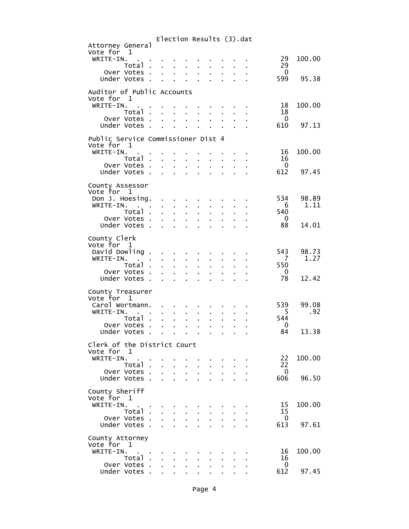|                                                         |                                 | Election Results (3).dat                                |                                                        |                                                                                               |                                         |                           |                                                              |                                 |        |
|---------------------------------------------------------|---------------------------------|---------------------------------------------------------|--------------------------------------------------------|-----------------------------------------------------------------------------------------------|-----------------------------------------|---------------------------|--------------------------------------------------------------|---------------------------------|--------|
| Attorney General<br>Vote for 1<br>WRITE-IN.             |                                 |                                                         |                                                        |                                                                                               |                                         |                           |                                                              | 29                              | 100.00 |
| Total.                                                  |                                 | and a state of the                                      |                                                        |                                                                                               |                                         |                           | $\mathbf{r} = \mathbf{r} + \mathbf{r} + \mathbf{r}$          | 29                              |        |
| Over Votes .<br>Under Votes.                            |                                 | $\mathbf{r}$                                            | $\mathbf{r} = \mathbf{r} \cdot \mathbf{r}$ .           | $\mathbf{r}$                                                                                  | $\mathbf{r} = \mathbf{r}$               |                           | $\mathbf{r} = \mathbf{r} \cdot \mathbf{r}$ .<br>$\sim$       | $\overline{\phantom{0}}$<br>599 | 95.38  |
| Auditor of Public Accounts                              |                                 |                                                         |                                                        |                                                                                               |                                         |                           |                                                              |                                 |        |
| Vote for 1                                              |                                 |                                                         |                                                        |                                                                                               |                                         |                           |                                                              |                                 |        |
| WRITE-IN.<br>Total .                                    |                                 | $\mathbf{L}^{\text{max}}$ and $\mathbf{L}^{\text{max}}$ | $\mathcal{L}^{\text{max}}$                             | $\mathbf{r}$                                                                                  | a in                                    | $\mathbf{r}$              |                                                              | 18<br>18                        | 100.00 |
| Over Votes<br>Under Votes.                              | $\mathbf{r}$                    | $\mathbf{r}$<br>$\mathbf{L}^{\text{max}}$               | $\mathbf{r} = \mathbf{r}$                              | $\mathbf{r}$                                                                                  | $\mathbf{r} = \mathbf{r}$<br>L.         |                           | $\mathbf{r} = \mathbf{r} \mathbf{r}$ .<br>$1 - 1 - 1$        | $\overline{\phantom{0}}$<br>610 | 97.13  |
| Public Service Commissioner Dist 4                      |                                 |                                                         |                                                        |                                                                                               |                                         |                           |                                                              |                                 |        |
| Vote for 1                                              |                                 |                                                         |                                                        |                                                                                               |                                         |                           |                                                              |                                 |        |
| WRITE-IN.<br>Total .                                    | $\sim$ 10 $\pm$                 | $\mathbf{r}$                                            | $\mathbf{a}$ , $\mathbf{b}$                            | $\sim$                                                                                        |                                         |                           |                                                              | 16<br>16                        | 100.00 |
| Over Votes .                                            | ÷.                              | $\mathbf{r}$                                            |                                                        | $\mathbf{r} = \mathbf{r}$                                                                     | $\mathbf{r} = \mathbf{r}$               | $\mathbf{r}$              | $\mathbf{r}$                                                 | $\overline{\phantom{0}}$        |        |
| Under Votes.                                            | $\sim 10^{-1}$                  |                                                         |                                                        | <b>Contract Contract</b>                                                                      | $\mathbf{r} = \mathbf{r}$               | $\mathbf{r}$              |                                                              | 612                             | 97.45  |
| County Assessor<br>Vote for 1                           |                                 |                                                         |                                                        |                                                                                               |                                         |                           |                                                              |                                 |        |
| Don J. Hoesing. .                                       |                                 |                                                         |                                                        | and a strain of the strain                                                                    |                                         |                           |                                                              | 534                             | 98.89  |
| WRITE-IN.<br>$\mathbf{r} = \mathbf{r} \cdot \mathbf{r}$ |                                 |                                                         | $1 - 1 - 1$                                            | $\mathbf{r}$                                                                                  | ä.                                      | $\mathbf{r}$              |                                                              | 6                               | 1.11   |
| Total<br>Over Votes .                                   | $\mathcal{L}^{\text{max}}$      | $\mathbf{r}$                                            | $\mathcal{L}^{\text{max}}$<br>$\sim 10^{-11}$          | $\mathcal{L}^{\text{max}}$<br>$\sim 10$                                                       | $\mathbf{r}$                            | $\mathbf{r}$              | $\mathbf{r} = \mathbf{r} + \mathbf{r}$ .<br>$\Delta \sim 10$ | 540<br>$\overline{\mathbf{0}}$  |        |
| Under Votes.                                            | $\mathbf{r}$                    |                                                         |                                                        | $\mathbf{1}^{\prime}$ , $\mathbf{1}^{\prime}$ , $\mathbf{1}^{\prime}$ , $\mathbf{1}^{\prime}$ | $\mathbf{r}$                            | $\mathbf{r}$              | $\mathbf{r}$                                                 | 88                              | 14.01  |
| County Clerk                                            |                                 |                                                         |                                                        |                                                                                               |                                         |                           |                                                              |                                 |        |
| Vote for 1<br>David Dowling.                            | $\bullet$                       | the company of the company                              |                                                        |                                                                                               |                                         |                           |                                                              | 543                             | 98.73  |
| WRITE-IN.<br>$\mathbf{a}$ and $\mathbf{b}$              |                                 |                                                         | $\mathbf{r} = \mathbf{r} \cdot \mathbf{r}$ .           | $\mathbf{r}$                                                                                  | a co                                    |                           |                                                              | $\overline{7}$                  | 1.27   |
| Total .<br>Over Votes.                                  | ÷.<br>$\mathbf{L}^{\text{max}}$ |                                                         | $\mathbf{r} = \mathbf{r} \mathbf{r}$ .<br>$\mathbf{r}$ | $\mathbf{r}$<br>$\mathbf{a}$ .                                                                | $\mathbf{r} = \mathbf{r}$               |                           | $\mathbf{r} = \mathbf{r} \cdot \mathbf{r}$ .                 | 550<br>$\overline{0}$           |        |
| Under Votes                                             |                                 |                                                         | $\mathbf{L} = \mathbf{L}$                              | <b>Contractor</b>                                                                             | $\mathbf{L}^{\text{max}}$               | $\mathbf{r}$              | $\mathbf{L}^{\text{max}}$                                    | 78                              | 12.42  |
| County Treasurer                                        |                                 |                                                         |                                                        |                                                                                               |                                         |                           |                                                              |                                 |        |
| Vote for 1<br>Carol Wortmann.                           |                                 |                                                         |                                                        |                                                                                               |                                         |                           |                                                              | 539                             | 99.08  |
| WRITE-IN.                                               |                                 |                                                         | $\mathbf{r}$                                           |                                                                                               |                                         |                           |                                                              | $-5$                            | .92    |
| Total.                                                  |                                 |                                                         | $\mathbf{r} = \mathbf{r} \mathbf{r}$ .                 | ÷.                                                                                            | J.                                      |                           |                                                              | 544                             |        |
| Over Votes<br>Under Votes.                              | <b>Contractor</b>               | $\mathbf{r}$                                            | $\mathbf{r} = \mathbf{r} \cdot \mathbf{r}$ .<br>$\sim$ | $\mathbf{r}$<br>$\sim 100$                                                                    | $\mathbf{r}^{\prime}$<br>$\blacksquare$ | $\mathbf{r}$<br>$\bullet$ | <b>Contract</b><br>$\sim$                                    | $\overline{\mathbf{0}}$<br>84   | 13.38  |
| Clerk of the District Court                             |                                 |                                                         |                                                        |                                                                                               |                                         |                           |                                                              |                                 |        |
| Vote for 1                                              |                                 |                                                         |                                                        |                                                                                               |                                         |                           |                                                              |                                 |        |
| WRITE-IN.<br>Total.                                     |                                 |                                                         |                                                        |                                                                                               |                                         |                           |                                                              | 22<br>22                        | 100.00 |
| Over Votes .                                            | ÷.                              | ä.                                                      | $\mathbf{r}$                                           | ÷.                                                                                            |                                         |                           |                                                              | $\overline{\phantom{0}}$        |        |
| Under Votes.                                            |                                 |                                                         |                                                        |                                                                                               |                                         |                           |                                                              | 606                             | 96.50  |
| County Sheriff<br>Vote for 1                            |                                 |                                                         |                                                        |                                                                                               |                                         |                           |                                                              |                                 |        |
| WRITE-IN.                                               |                                 |                                                         |                                                        |                                                                                               |                                         |                           |                                                              | 15                              | 100.00 |
| Total.<br>Over Votes .                                  |                                 |                                                         |                                                        |                                                                                               |                                         |                           |                                                              | 15<br>$\mathbf{0}$              |        |
| Under Votes.                                            | ÷.                              | ä.                                                      | $\mathbf{r}$                                           | $\mathbf{r}$                                                                                  |                                         |                           |                                                              | 613                             | 97.61  |
| County Attorney                                         |                                 |                                                         |                                                        |                                                                                               |                                         |                           |                                                              |                                 |        |
| Vote for 1                                              |                                 |                                                         |                                                        |                                                                                               |                                         |                           |                                                              |                                 |        |
| WRITE-IN.<br>Total.                                     |                                 |                                                         |                                                        |                                                                                               |                                         |                           |                                                              | 16<br>16                        | 100.00 |
| Over Votes .                                            | ä.                              |                                                         |                                                        |                                                                                               |                                         |                           |                                                              | $\mathbf{0}$                    |        |
| Under Votes.                                            |                                 |                                                         |                                                        |                                                                                               |                                         |                           |                                                              | 612                             | 97.45  |